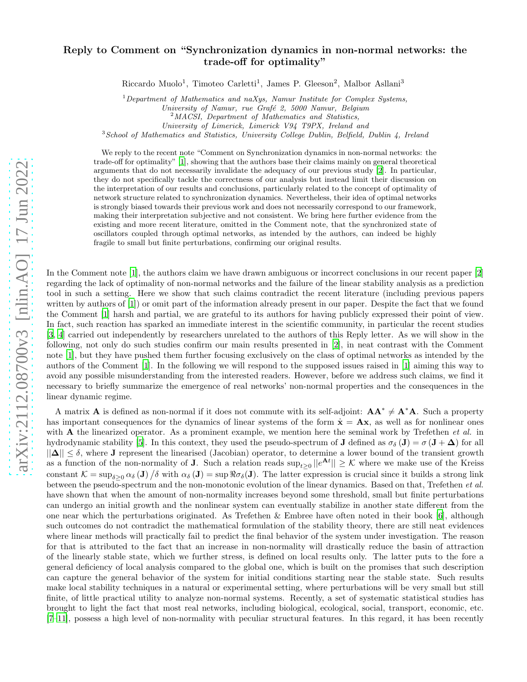# Reply to Comment on "Synchronization dynamics in non-normal networks: the trade-off for optimality"

Riccardo Muolo<sup>1</sup>, Timoteo Carletti<sup>1</sup>, James P. Gleeson<sup>2</sup>, Malbor Asllani<sup>3</sup>

<sup>1</sup>*Department of Mathematics and naXys, Namur Institute for Complex Systems,*

*University of Namur, rue Graf´e 2, 5000 Namur, Belgium*

<sup>2</sup>*MACSI, Department of Mathematics and Statistics,*

*University of Limerick, Limerick V94 T9PX, Ireland and*

<sup>3</sup>*School of Mathematics and Statistics, University College Dublin, Belfield, Dublin 4, Ireland*

We reply to the recent note "Comment on Synchronization dynamics in non-normal networks: the trade-off for optimality" [\[1](#page-3-0)], showing that the authors base their claims mainly on general theoretical arguments that do not necessarily invalidate the adequacy of our previous study [\[2](#page-3-1)]. In particular, they do not specifically tackle the correctness of our analysis but instead limit their discussion on the interpretation of our results and conclusions, particularly related to the concept of optimality of network structure related to synchronization dynamics. Nevertheless, their idea of optimal networks is strongly biased towards their previous work and does not necessarily correspond to our framework, making their interpretation subjective and not consistent. We bring here further evidence from the existing and more recent literature, omitted in the Comment note, that the synchronized state of oscillators coupled through optimal networks, as intended by the authors, can indeed be highly fragile to small but finite perturbations, confirming our original results.

In the Comment note [\[1\]](#page-3-0), the authors claim we have drawn ambiguous or incorrect conclusions in our recent paper [\[2](#page-3-1)] regarding the lack of optimality of non-normal networks and the failure of the linear stability analysis as a prediction tool in such a setting. Here we show that such claims contradict the recent literature (including previous papers written by authors of [\[1\]](#page-3-0)) or omit part of the information already present in our paper. Despite the fact that we found the Comment [\[1](#page-3-0)] harsh and partial, we are grateful to its authors for having publicly expressed their point of view. In fact, such reaction has sparked an immediate interest in the scientific community, in particular the recent studies [\[3,](#page-3-2) [4](#page-3-3)] carried out independently by researchers unrelated to the authors of this Reply letter. As we will show in the following, not only do such studies confirm our main results presented in [\[2](#page-3-1)], in neat contrast with the Comment note [\[1\]](#page-3-0), but they have pushed them further focusing exclusively on the class of optimal networks as intended by the authors of the Comment [\[1](#page-3-0)]. In the following we will respond to the supposed issues raised in [\[1\]](#page-3-0) aiming this way to avoid any possible misunderstanding from the interested readers. However, before we address such claims, we find it necessary to briefly summarize the emergence of real networks' non-normal properties and the consequences in the linear dynamic regime.

A matrix **A** is defined as non-normal if it does not commute with its self-adjoint:  $AA^* \neq A^*A$ . Such a property has important consequences for the dynamics of linear systems of the form  $\dot{\mathbf{x}} = \mathbf{A}\mathbf{x}$ , as well as for nonlinear ones with  $A$  the linearized operator. As a prominent example, we mention here the seminal work by Trefethen *et al.* in hydrodynamic stability [\[5\]](#page-3-4). In this context, they used the pseudo-spectrum of **J** defined as  $\sigma_{\delta}(\mathbf{J}) = \sigma(\mathbf{J} + \mathbf{\Delta})$  for all  $||\Delta|| \leq \delta$ , where J represent the linearised (Jacobian) operator, to determine a lower bound of the transient growth as a function of the non-normality of **J**. Such a relation reads  $\sup_{t\geq 0} ||e^{\mathbf{A}t}|| \geq K$  where we make use of the Kreiss constant  $\mathcal{K} = \sup_{\delta \geq 0} \alpha_{\delta} (\mathbf{J}) / \delta$  with  $\alpha_{\delta} (\mathbf{J}) = \sup \Re \sigma_{\delta} (\mathbf{J})$ . The latter expression is crucial since it builds a strong link between the pseudo-spectrum and the non-monotonic evolution of the linear dynamics. Based on that, Trefethen et al. have shown that when the amount of non-normality increases beyond some threshold, small but finite perturbations can undergo an initial growth and the nonlinear system can eventually stabilize in another state different from the one near which the perturbations originated. As Trefethen & Embree have often noted in their book [\[6](#page-3-5)], although such outcomes do not contradict the mathematical formulation of the stability theory, there are still neat evidences where linear methods will practically fail to predict the final behavior of the system under investigation. The reason for that is attributed to the fact that an increase in non-normality will drastically reduce the basin of attraction of the linearly stable state, which we further stress, is defined on local results only. The latter puts to the fore a general deficiency of local analysis compared to the global one, which is built on the promises that such description can capture the general behavior of the system for initial conditions starting near the stable state. Such results make local stability techniques in a natural or experimental setting, where perturbations will be very small but still finite, of little practical utility to analyze non-normal systems. Recently, a set of systematic statistical studies has brought to light the fact that most real networks, including biological, ecological, social, transport, economic, etc.  $[7-11]$  $[7-11]$ , possess a high level of non-normality with peculiar structural features. In this regard, it has been recently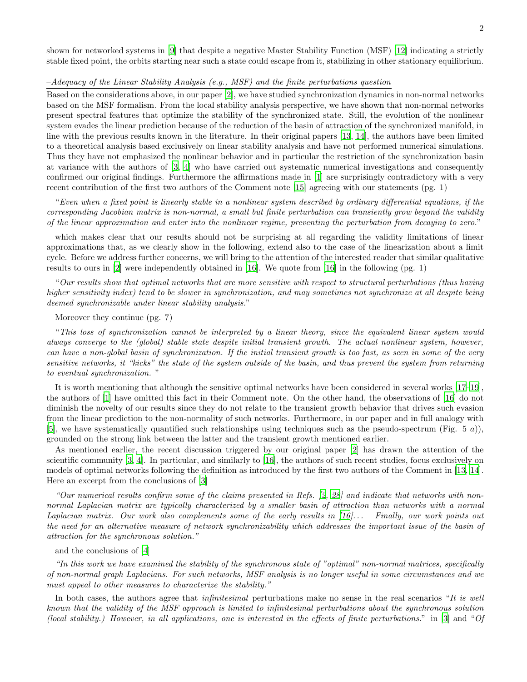shown for networked systems in [\[9\]](#page-3-8) that despite a negative Master Stability Function (MSF) [\[12\]](#page-3-9) indicating a strictly stable fixed point, the orbits starting near such a state could escape from it, stabilizing in other stationary equilibrium.

## –Adequacy of the Linear Stability Analysis (e.g., MSF) and the finite perturbations question

Based on the considerations above, in our paper [\[2\]](#page-3-1), we have studied synchronization dynamics in non-normal networks based on the MSF formalism. From the local stability analysis perspective, we have shown that non-normal networks present spectral features that optimize the stability of the synchronized state. Still, the evolution of the nonlinear system evades the linear prediction because of the reduction of the basin of attraction of the synchronized manifold, in line with the previous results known in the literature. In their original papers [\[13,](#page-3-10) [14\]](#page-3-11), the authors have been limited to a theoretical analysis based exclusively on linear stability analysis and have not performed numerical simulations. Thus they have not emphasized the nonlinear behavior and in particular the restriction of the synchronization basin at variance with the authors of [\[3,](#page-3-2) [4\]](#page-3-3) who have carried out systematic numerical investigations and consequently confirmed our original findings. Furthermore the affirmations made in [\[1\]](#page-3-0) are surprisingly contradictory with a very recent contribution of the first two authors of the Comment note [\[15\]](#page-3-12) agreeing with our statements (pg. 1)

"Even when a fixed point is linearly stable in a nonlinear system described by ordinary differential equations, if the corresponding Jacobian matrix is non-normal, a small but finite perturbation can transiently grow beyond the validity of the linear approximation and enter into the nonlinear regime, preventing the perturbation from decaying to zero."

which makes clear that our results should not be surprising at all regarding the validity limitations of linear approximations that, as we clearly show in the following, extend also to the case of the linearization about a limit cycle. Before we address further concerns, we will bring to the attention of the interested reader that similar qualitative results to ours in [\[2\]](#page-3-1) were independently obtained in [\[16\]](#page-3-13). We quote from [\[16\]](#page-3-13) in the following (pg. 1)

"Our results show that optimal networks that are more sensitive with respect to structural perturbations (thus having higher sensitivity index) tend to be slower in synchronization, and may sometimes not synchronize at all despite being deemed synchronizable under linear stability analysis."

Moreover they continue (pg. 7)

"This loss of synchronization cannot be interpreted by a linear theory, since the equivalent linear system would always converge to the (global) stable state despite initial transient growth. The actual nonlinear system, however, can have a non-global basin of synchronization. If the initial transient growth is too fast, as seen in some of the very sensitive networks, it "kicks" the state of the system outside of the basin, and thus prevent the system from returning to eventual synchronization. "

It is worth mentioning that although the sensitive optimal networks have been considered in several works [\[17](#page-4-0)[–19\]](#page-4-1), the authors of [\[1\]](#page-3-0) have omitted this fact in their Comment note. On the other hand, the observations of [\[16\]](#page-3-13) do not diminish the novelty of our results since they do not relate to the transient growth behavior that drives such evasion from the linear prediction to the non-normality of such networks. Furthermore, in our paper and in full analogy with [\[5\]](#page-3-4), we have systematically quantified such relationships using techniques such as the pseudo-spectrum (Fig. 5 a)), grounded on the strong link between the latter and the transient growth mentioned earlier.

As mentioned earlier, the recent discussion triggered by our original paper [\[2\]](#page-3-1) has drawn the attention of the scientific community [\[3](#page-3-2), [4](#page-3-3)]. In particular, and similarly to [\[16](#page-3-13)], the authors of such recent studies, focus exclusively on models of optimal networks following the definition as introduced by the first two authors of the Comment in [\[13,](#page-3-10) [14\]](#page-3-11). Here an excerpt from the conclusions of [\[3\]](#page-3-2)

"Our numerical results confirm some of the claims presented in Refs. [\[2](#page-3-1), [28](#page-4-2)] and indicate that networks with nonnormal Laplacian matrix are typically characterized by a smaller basin of attraction than networks with a normal Laplacian matrix. Our work also complements some of the early results in [\[16](#page-3-13)]... Finally, our work points out the need for an alternative measure of network synchronizability which addresses the important issue of the basin of attraction for the synchronous solution."

## and the conclusions of [\[4\]](#page-3-3)

"In this work we have examined the stability of the synchronous state of "optimal" non-normal matrices, specifically of non-normal graph Laplacians. For such networks, MSF analysis is no longer useful in some circumstances and we must appeal to other measures to characterize the stability."

In both cases, the authors agree that *infinitesimal* perturbations make no sense in the real scenarios "It is well known that the validity of the MSF approach is limited to infinitesimal perturbations about the synchronous solution (local stability.) However, in all applications, one is interested in the effects of finite perturbations." in [\[3](#page-3-2)] and "Of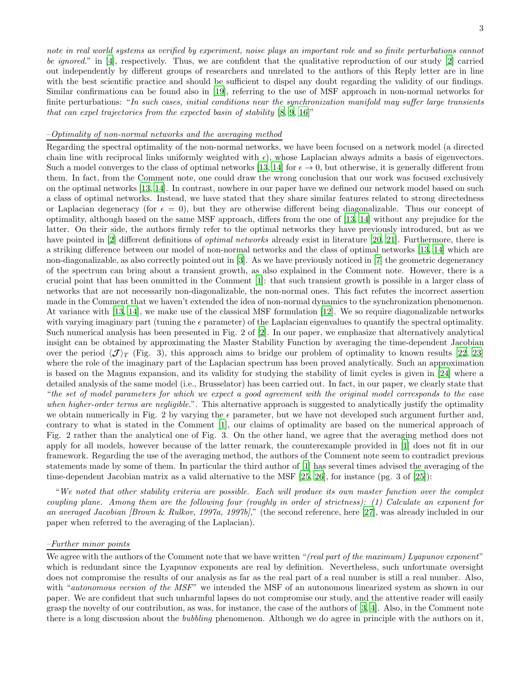note in real world systems as verified by experiment, noise plays an important role and so finite perturbations cannot be *ignored.*" in [\[4\]](#page-3-3), respectively. Thus, we are confident that the qualitative reproduction of our study [\[2](#page-3-1)] carried out independently by different groups of researchers and unrelated to the authors of this Reply letter are in line with the best scientific practice and should be sufficient to dispel any doubt regarding the validity of our findings. Similar confirmations can be found also in [\[19](#page-4-1)], referring to the use of MSF approach in non-normal networks for finite perturbations: "In such cases, initial conditions near the synchronization manifold may suffer large transients that can expel trajectories from the expected basin of stability  $[8, 9, 16]$  $[8, 9, 16]$  $[8, 9, 16]$  $[8, 9, 16]$ "

### –Optimality of non-normal networks and the averaging method

Regarding the spectral optimality of the non-normal networks, we have been focused on a network model (a directed chain line with reciprocal links uniformly weighted with  $\epsilon$ ), whose Laplacian always admits a basis of eigenvectors. Such a model converges to the class of optimal networks [\[13](#page-3-10), [14\]](#page-3-11) for  $\epsilon \to 0$ , but otherwise, it is generally different from them. In fact, from the Comment note, one could draw the wrong conclusion that our work was focused exclusively on the optimal networks [\[13](#page-3-10), [14](#page-3-11)]. In contrast, nowhere in our paper have we defined our network model based on such a class of optimal networks. Instead, we have stated that they share similar features related to strong directedness or Laplacian degeneracy (for  $\epsilon = 0$ ), but they are otherwise different being diagonalizable. Thus our concept of optimality, although based on the same MSF approach, differs from the one of [\[13](#page-3-10), [14](#page-3-11)] without any prejudice for the latter. On their side, the authors firmly refer to the optimal networks they have previously introduced, but as we have pointed in [\[2](#page-3-1)] different definitions of *optimal networks* already exist in literature [\[20](#page-4-3), [21](#page-4-4)]. Furthermore, there is a striking difference between our model of non-normal networks and the class of optimal networks [\[13](#page-3-10), [14](#page-3-11)] which are non-diagonalizable, as also correctly pointed out in [\[3\]](#page-3-2). As we have previously noticed in [\[7](#page-3-6)] the geometric degenerancy of the spectrum can bring about a transient growth, as also explained in the Comment note. However, there is a crucial point that has been ommitted in the Comment [\[1\]](#page-3-0): that such transient growth is possible in a larger class of networks that are not necessarily non-diagonalizable, the non-normal ones. This fact refutes the incorrect assertion made in the Comment that we haven't extended the idea of non-normal dynamics to the synchronization phenomenon. At variance with [\[13](#page-3-10), [14](#page-3-11)], we make use of the classical MSF formulation [\[12](#page-3-9)]. We so require diagonalizable networks with varying imaginary part (tuning the  $\epsilon$  parameter) of the Laplacian eigenvalues to quantify the spectral optimality. Such numerical analysis has been presented in Fig. 2 of [\[2](#page-3-1)]. In our paper, we emphasize that alternatively analytical insight can be obtained by approximating the Master Stability Function by averaging the time-dependent Jacobian over the period  $\langle \mathcal{J} \rangle_T$  (Fig. 3), this approach aims to bridge our problem of optimality to known results [\[22](#page-4-5), [23](#page-4-6)] where the role of the imaginary part of the Laplacian spectrum has been proved analytically. Such an approximation is based on the Magnus expansion, and its validity for studying the stability of limit cycles is given in [\[24\]](#page-4-7) where a detailed analysis of the same model (i.e., Brusselator) has been carried out. In fact, in our paper, we clearly state that "the set of model parameters for which we expect a good agreement with the original model corresponds to the case when higher-order terms are negligible.". This alternative approach is suggested to analytically justify the optimality we obtain numerically in Fig. 2 by varying the  $\epsilon$  parameter, but we have not developed such argument further and, contrary to what is stated in the Comment [\[1\]](#page-3-0), our claims of optimality are based on the numerical approach of Fig. 2 rather than the analytical one of Fig. 3. On the other hand, we agree that the averaging method does not apply for all models, however because of the latter remark, the counterexample provided in [\[1\]](#page-3-0) does not fit in our framework. Regarding the use of the averaging method, the authors of the Comment note seem to contradict previous statements made by some of them. In particular the third author of [\[1\]](#page-3-0) has several times advised the averaging of the time-dependent Jacobian matrix as a valid alternative to the MSF [\[25,](#page-4-8) [26\]](#page-4-9), for instance (pg. 3 of [\[25\]](#page-4-8)):

"We noted that other stability criteria are possible. Each will produce its own master function over the complex coupling plane. Among them are the following four (roughly in order of strictness): (1) Calculate an exponent for an averaged Jacobian *[Brown & Rulkov, 1997a, 1997b]*," (the second reference, here [\[27\]](#page-4-10), was already included in our paper when referred to the averaging of the Laplacian).

### –Further minor points

We agree with the authors of the Comment note that we have written "(real part of the maximum) Lyapunov exponent" which is redundant since the Lyapunov exponents are real by definition. Nevertheless, such unfortunate oversight does not compromise the results of our analysis as far as the real part of a real number is still a real number. Also, with "autonomous version of the MSF" we intended the MSF of an autonomous linearized system as shown in our paper. We are confident that such unharmful lapses do not compromise our study, and the attentive reader will easily grasp the novelty of our contribution, as was, for instance, the case of the authors of [\[3](#page-3-2), [4\]](#page-3-3). Also, in the Comment note there is a long discussion about the bubbling phenomenon. Although we do agree in principle with the authors on it,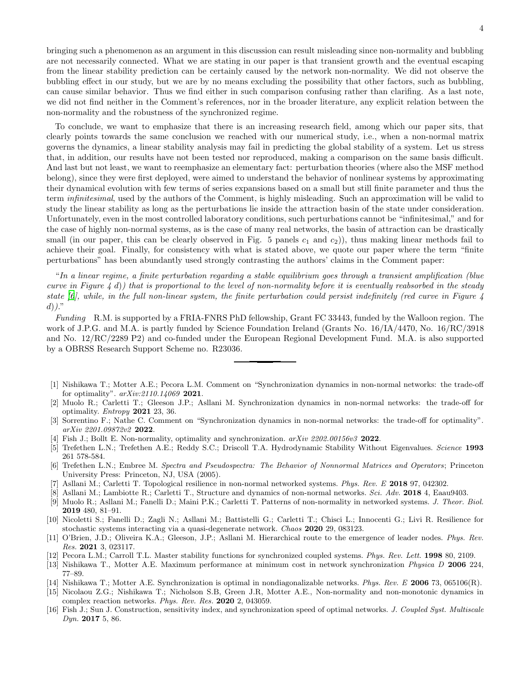bringing such a phenomenon as an argument in this discussion can result misleading since non-normality and bubbling are not necessarily connected. What we are stating in our paper is that transient growth and the eventual escaping from the linear stability prediction can be certainly caused by the network non-normality. We did not observe the bubbling effect in our study, but we are by no means excluding the possibility that other factors, such as bubbling, can cause similar behavior. Thus we find either in such comparison confusing rather than clarifing. As a last note, we did not find neither in the Comment's references, nor in the broader literature, any explicit relation between the non-normality and the robustness of the synchronized regime.

To conclude, we want to emphasize that there is an increasing research field, among which our paper sits, that clearly points towards the same conclusion we reached with our numerical study, i.e., when a non-normal matrix governs the dynamics, a linear stability analysis may fail in predicting the global stability of a system. Let us stress that, in addition, our results have not been tested nor reproduced, making a comparison on the same basis difficult. And last but not least, we want to reemphasize an elementary fact: perturbation theories (where also the MSF method belong), since they were first deployed, were aimed to understand the behavior of nonlinear systems by approximating their dynamical evolution with few terms of series expansions based on a small but still finite parameter and thus the term infinitesimal, used by the authors of the Comment, is highly misleading. Such an approximation will be valid to study the linear stability as long as the perturbations lie inside the attraction basin of the state under consideration. Unfortunately, even in the most controlled laboratory conditions, such perturbations cannot be "infinitesimal," and for the case of highly non-normal systems, as is the case of many real networks, the basin of attraction can be drastically small (in our paper, this can be clearly observed in Fig. 5 panels  $c_1$  and  $c_2$ )), thus making linear methods fail to achieve their goal. Finally, for consistency with what is stated above, we quote our paper where the term "finite perturbations" has been abundantly used strongly contrasting the authors' claims in the Comment paper:

"In a linear regime, a finite perturbation regarding a stable equilibrium goes through a transient amplification (blue curve in Figure 4 d)) that is proportional to the level of non-normality before it is eventually reabsorbed in the steady state  $[6]$ , while, in the full non-linear system, the finite perturbation could persist indefinitely (red curve in Figure 4  $d)$ )."

Funding R.M. is supported by a FRIA-FNRS PhD fellowship, Grant FC 33443, funded by the Walloon region. The work of J.P.G. and M.A. is partly funded by Science Foundation Ireland (Grants No. 16/IA/4470, No. 16/RC/3918 and No. 12/RC/2289 P2) and co-funded under the European Regional Development Fund. M.A. is also supported by a OBRSS Research Support Scheme no. R23036.

- <span id="page-3-0"></span>[1] Nishikawa T.; Motter A.E.; Pecora L.M. Comment on "Synchronization dynamics in non-normal networks: the trade-off for optimality". *arXiv:2110.14069* 2021.
- <span id="page-3-1"></span>[2] Muolo R.; Carletti T.; Gleeson J.P.; Asllani M. Synchronization dynamics in non-normal networks: the trade-off for optimality. *Entropy* 2021 23, 36.
- <span id="page-3-2"></span>[3] Sorrentino F.; Nathe C. Comment on "Synchronization dynamics in non-normal networks: the trade-off for optimality". *arXiv 2201.09872v2* 2022.
- <span id="page-3-3"></span>[4] Fish J.; Bollt E. Non-normality, optimality and synchronization. *arXiv 2202.00156v3* 2022.
- <span id="page-3-4"></span>[5] Trefethen L.N.; Trefethen A.E.; Reddy S.C.; Driscoll T.A. Hydrodynamic Stability Without Eigenvalues. *Science* 1993 261 578-584.
- <span id="page-3-5"></span>[6] Trefethen L.N.; Embree M. *Spectra and Pseudospectra: The Behavior of Nonnormal Matrices and Operators*; Princeton University Press: Princeton, NJ, USA (2005).
- <span id="page-3-6"></span>[7] Asllani M.; Carletti T. Topological resilience in non-normal networked systems. *Phys. Rev. E* 2018 97, 042302.
- <span id="page-3-14"></span>[8] Asllani M.; Lambiotte R.; Carletti T., Structure and dynamics of non-normal networks. *Sci. Adv.* 2018 4, Eaau9403.
- <span id="page-3-8"></span>[9] Muolo R.; Asllani M.; Fanelli D.; Maini P.K.; Carletti T. Patterns of non-normality in networked systems. *J. Theor. Biol.* 2019 480, 81–91.
- [10] Nicoletti S.; Fanelli D.; Zagli N.; Asllani M.; Battistelli G.; Carletti T.; Chisci L.; Innocenti G.; Livi R. Resilience for stochastic systems interacting via a quasi-degenerate network. *Chaos* 2020 29, 083123.
- <span id="page-3-7"></span>[11] O'Brien, J.D.; Oliveira K.A.; Gleeson, J.P.; Asllani M. Hierarchical route to the emergence of leader nodes. *Phys. Rev. Res.* 2021 3, 023117.
- <span id="page-3-9"></span>[12] Pecora L.M.; Carroll T.L. Master stability functions for synchronized coupled systems. *Phys. Rev. Lett.* 1998 80, 2109.
- <span id="page-3-10"></span>[13] Nishikawa T., Motter A.E. Maximum performance at minimum cost in network synchronization *Physica D* 2006 224, 77–89.
- <span id="page-3-11"></span>[14] Nishikawa T.; Motter A.E. Synchronization is optimal in nondiagonalizable networks. *Phys. Rev. E* 2006 73, 065106(R).
- <span id="page-3-12"></span>[15] Nicolaou Z.G.; Nishikawa T.; Nicholson S.B, Green J.R, Motter A.E., Non-normality and non-monotonic dynamics in complex reaction networks. *Phys. Rev. Res.* 2020 2, 043059.
- <span id="page-3-13"></span>[16] Fish J.; Sun J. Construction, sensitivity index, and synchronization speed of optimal networks. *J. Coupled Syst. Multiscale Dyn.* 2017 5, 86.